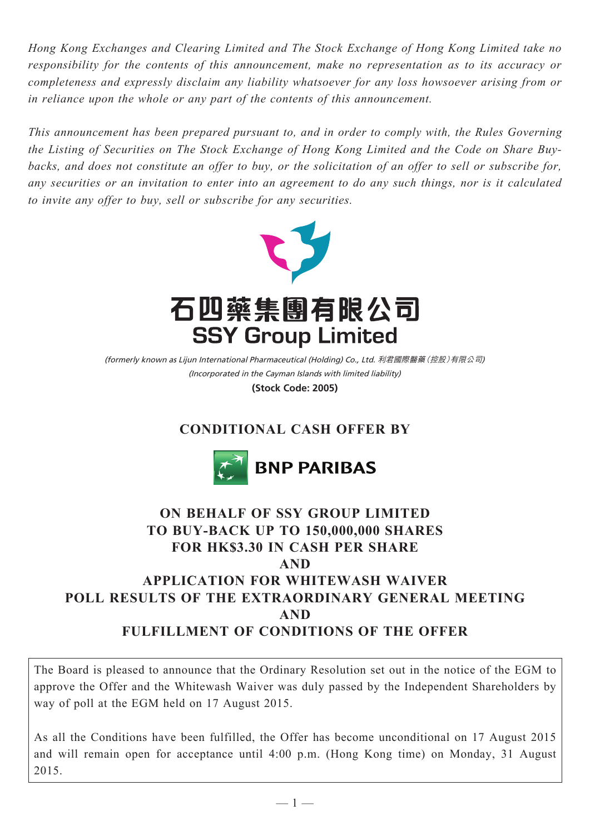*Hong Kong Exchanges and Clearing Limited and The Stock Exchange of Hong Kong Limited take no responsibility for the contents of this announcement, make no representation as to its accuracy or completeness and expressly disclaim any liability whatsoever for any loss howsoever arising from or in reliance upon the whole or any part of the contents of this announcement.*

*This announcement has been prepared pursuant to, and in order to comply with, the Rules Governing the Listing of Securities on The Stock Exchange of Hong Kong Limited and the Code on Share Buybacks, and does not constitute an offer to buy, or the solicitation of an offer to sell or subscribe for, any securities or an invitation to enter into an agreement to do any such things, nor is it calculated to invite any offer to buy, sell or subscribe for any securities.*



(Incorporated in the Cayman Islands with limited liability) (formerly known as Lijun International Pharmaceutical (Holding) Co., Ltd. 利君國際醫藥(控股)有限公司)

**(Stock Code: 2005)**

# **CONDITIONAL CASH OFFER BY**



# **ON BEHALF OF SSY GROUP LIMITED TO BUY-BACK UP TO 150,000,000 SHARES FOR HK\$3.30 IN CASH PER SHARE AND APPLICATION FOR WHITEWASH WAIVER POLL RESULTS OF THE EXTRAORDINARY GENERAL MEETING AND FULFILLMENT OF CONDITIONS OF THE OFFER**

The Board is pleased to announce that the Ordinary Resolution set out in the notice of the EGM to approve the Offer and the Whitewash Waiver was duly passed by the Independent Shareholders by way of poll at the EGM held on 17 August 2015.

As all the Conditions have been fulfilled, the Offer has become unconditional on 17 August 2015 and will remain open for acceptance until 4:00 p.m. (Hong Kong time) on Monday, 31 August 2015.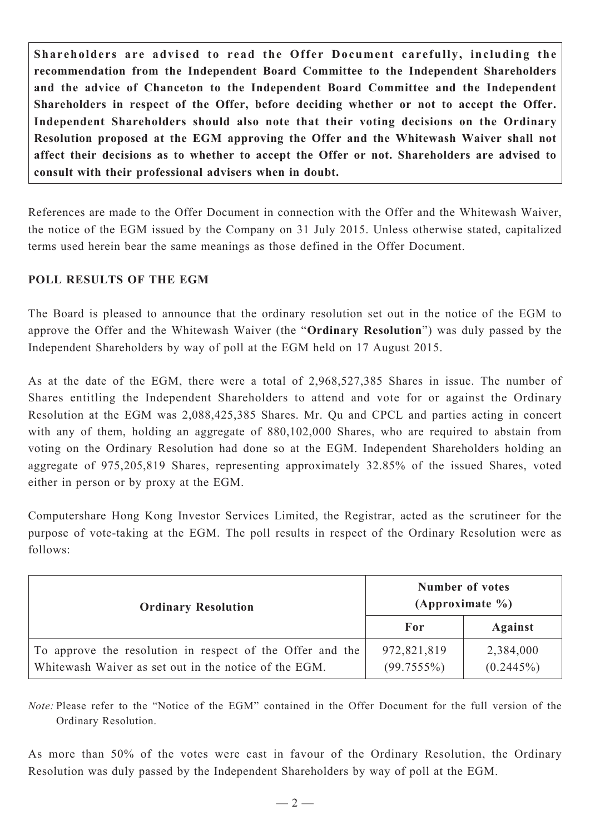**Shareholders are advised to read the Offer Document carefully, including the recommendation from the Independent Board Committee to the Independent Shareholders and the advice of Chanceton to the Independent Board Committee and the Independent Shareholders in respect of the Offer, before deciding whether or not to accept the Offer. Independent Shareholders should also note that their voting decisions on the Ordinary Resolution proposed at the EGM approving the Offer and the Whitewash Waiver shall not affect their decisions as to whether to accept the Offer or not. Shareholders are advised to consult with their professional advisers when in doubt.**

References are made to the Offer Document in connection with the Offer and the Whitewash Waiver, the notice of the EGM issued by the Company on 31 July 2015. Unless otherwise stated, capitalized terms used herein bear the same meanings as those defined in the Offer Document.

## **POLL RESULTS OF THE EGM**

The Board is pleased to announce that the ordinary resolution set out in the notice of the EGM to approve the Offer and the Whitewash Waiver (the "**Ordinary Resolution**") was duly passed by the Independent Shareholders by way of poll at the EGM held on 17 August 2015.

As at the date of the EGM, there were a total of 2,968,527,385 Shares in issue. The number of Shares entitling the Independent Shareholders to attend and vote for or against the Ordinary Resolution at the EGM was 2,088,425,385 Shares. Mr. Qu and CPCL and parties acting in concert with any of them, holding an aggregate of 880,102,000 Shares, who are required to abstain from voting on the Ordinary Resolution had done so at the EGM. Independent Shareholders holding an aggregate of 975,205,819 Shares, representing approximately 32.85% of the issued Shares, voted either in person or by proxy at the EGM.

Computershare Hong Kong Investor Services Limited, the Registrar, acted as the scrutineer for the purpose of vote-taking at the EGM. The poll results in respect of the Ordinary Resolution were as follows:

| <b>Ordinary Resolution</b>                                                                                         | <b>Number of votes</b><br>(Approximate $\%$ ) |                           |
|--------------------------------------------------------------------------------------------------------------------|-----------------------------------------------|---------------------------|
|                                                                                                                    | For                                           | <b>Against</b>            |
| To approve the resolution in respect of the Offer and the<br>Whitewash Waiver as set out in the notice of the EGM. | 972,821,819<br>$(99.7555\%)$                  | 2,384,000<br>$(0.2445\%)$ |

*Note:* Please refer to the "Notice of the EGM" contained in the Offer Document for the full version of the Ordinary Resolution.

As more than 50% of the votes were cast in favour of the Ordinary Resolution, the Ordinary Resolution was duly passed by the Independent Shareholders by way of poll at the EGM.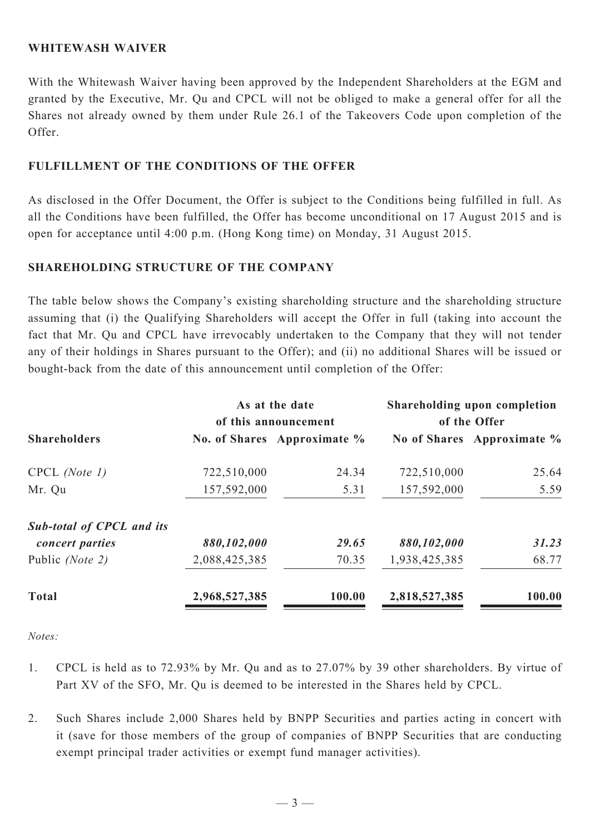#### **WHITEWASH WAIVER**

With the Whitewash Waiver having been approved by the Independent Shareholders at the EGM and granted by the Executive, Mr. Qu and CPCL will not be obliged to make a general offer for all the Shares not already owned by them under Rule 26.1 of the Takeovers Code upon completion of the Offer.

### **FULFILLMENT OF THE CONDITIONS OF THE OFFER**

As disclosed in the Offer Document, the Offer is subject to the Conditions being fulfilled in full. As all the Conditions have been fulfilled, the Offer has become unconditional on 17 August 2015 and is open for acceptance until 4:00 p.m. (Hong Kong time) on Monday, 31 August 2015.

### **SHAREHOLDING STRUCTURE OF THE COMPANY**

The table below shows the Company's existing shareholding structure and the shareholding structure assuming that (i) the Qualifying Shareholders will accept the Offer in full (taking into account the fact that Mr. Qu and CPCL have irrevocably undertaken to the Company that they will not tender any of their holdings in Shares pursuant to the Offer); and (ii) no additional Shares will be issued or bought-back from the date of this announcement until completion of the Offer:

| <b>Shareholders</b>              | As at the date<br>of this announcement |                             | Shareholding upon completion<br>of the Offer |                            |
|----------------------------------|----------------------------------------|-----------------------------|----------------------------------------------|----------------------------|
|                                  |                                        | No. of Shares Approximate % |                                              | No of Shares Approximate % |
| $CPCL$ (Note 1)                  | 722,510,000                            | 24.34                       | 722,510,000                                  | 25.64                      |
| Mr. Qu                           | 157,592,000                            | 5.31                        | 157,592,000                                  | 5.59                       |
| <b>Sub-total of CPCL and its</b> |                                        |                             |                                              |                            |
| concert parties                  | 880,102,000                            | 29.65                       | 880,102,000                                  | 31.23                      |
| Public (Note 2)                  | 2,088,425,385                          | 70.35                       | 1,938,425,385                                | 68.77                      |
| <b>Total</b>                     | 2,968,527,385                          | 100.00                      | 2,818,527,385                                | 100.00                     |

*Notes:*

- 1. CPCL is held as to 72.93% by Mr. Qu and as to 27.07% by 39 other shareholders. By virtue of Part XV of the SFO, Mr. Qu is deemed to be interested in the Shares held by CPCL.
- 2. Such Shares include 2,000 Shares held by BNPP Securities and parties acting in concert with it (save for those members of the group of companies of BNPP Securities that are conducting exempt principal trader activities or exempt fund manager activities).